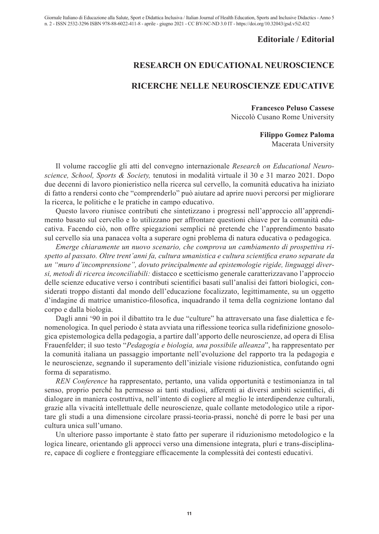## **Editoriale / Editorial**

## **RESEARCH ON EDUCATIONAL NEUROSCIENCE**

## **RICERCHE NELLE NEUROSCIENZE EDUCATIVE**

**Francesco Peluso Cassese** Niccolò Cusano Rome University

> **Filippo Gomez Paloma** Macerata University

Il volume raccoglie gli atti del convegno internazionale *Research on Educational Neuroscience, School, Sports & Society,* tenutosi in modalità virtuale il 30 e 31 marzo 2021. Dopo due decenni di lavoro pionieristico nella ricerca sul cervello, la comunità educativa ha iniziato di fatto a rendersi conto che "comprenderlo" può aiutare ad aprire nuovi percorsi per migliorare la ricerca, le politiche e le pratiche in campo educativo.

Questo lavoro riunisce contributi che sintetizzano i progressi nell'approccio all'apprendimento basato sul cervello e lo utilizzano per affrontare questioni chiave per la comunità educativa. Facendo ciò, non offre spiegazioni semplici né pretende che l'apprendimento basato sul cervello sia una panacea volta a superare ogni problema di natura educativa o pedagogica.

*Emerge chiaramente un nuovo scenario, che comprova un cambiamento di prospettiva rispetto al passato. Oltre trent'anni fa, cultura umanistica e cultura scientifica erano separate da un "muro d'incomprensione", dovuto principalmente ad epistemologie rigide, linguaggi diversi, metodi di ricerca inconciliabili:* distacco e scetticismo generale caratterizzavano l'approccio delle scienze educative verso i contributi scientifici basati sull'analisi dei fattori biologici, considerati troppo distanti dal mondo dell'educazione focalizzato, legittimamente, su un oggetto d'indagine di matrice umanistico-filosofica, inquadrando il tema della cognizione lontano dal corpo e dalla biologia.

Dagli anni '90 in poi il dibattito tra le due "culture" ha attraversato una fase dialettica e fenomenologica. In quel periodo è stata avviata una riflessione teorica sulla ridefinizione gnosologica epistemologica della pedagogia, a partire dall'apporto delle neuroscienze, ad opera di Elisa Frauenfelder; il suo testo "*Pedagogia e biologia, una possibile alleanza*", ha rappresentato per la comunità italiana un passaggio importante nell'evoluzione del rapporto tra la pedagogia e le neuroscienze, segnando il superamento dell'iniziale visione riduzionistica, confutando ogni forma di separatismo.

*REN Conference* ha rappresentato, pertanto, una valida opportunità e testimonianza in tal senso, proprio perché ha permesso ai tanti studiosi, afferenti ai diversi ambiti scientifici, di dialogare in maniera costruttiva, nell'intento di cogliere al meglio le interdipendenze culturali, grazie alla vivacità intellettuale delle neuroscienze, quale collante metodologico utile a riportare gli studi a una dimensione circolare prassi-teoria-prassi, nonché di porre le basi per una cultura unica sull'umano.

Un ulteriore passo importante è stato fatto per superare il riduzionismo metodologico e la logica lineare, orientando gli approcci verso una dimensione integrata, pluri e trans-disciplinare, capace di cogliere e fronteggiare efficacemente la complessità dei contesti educativi.